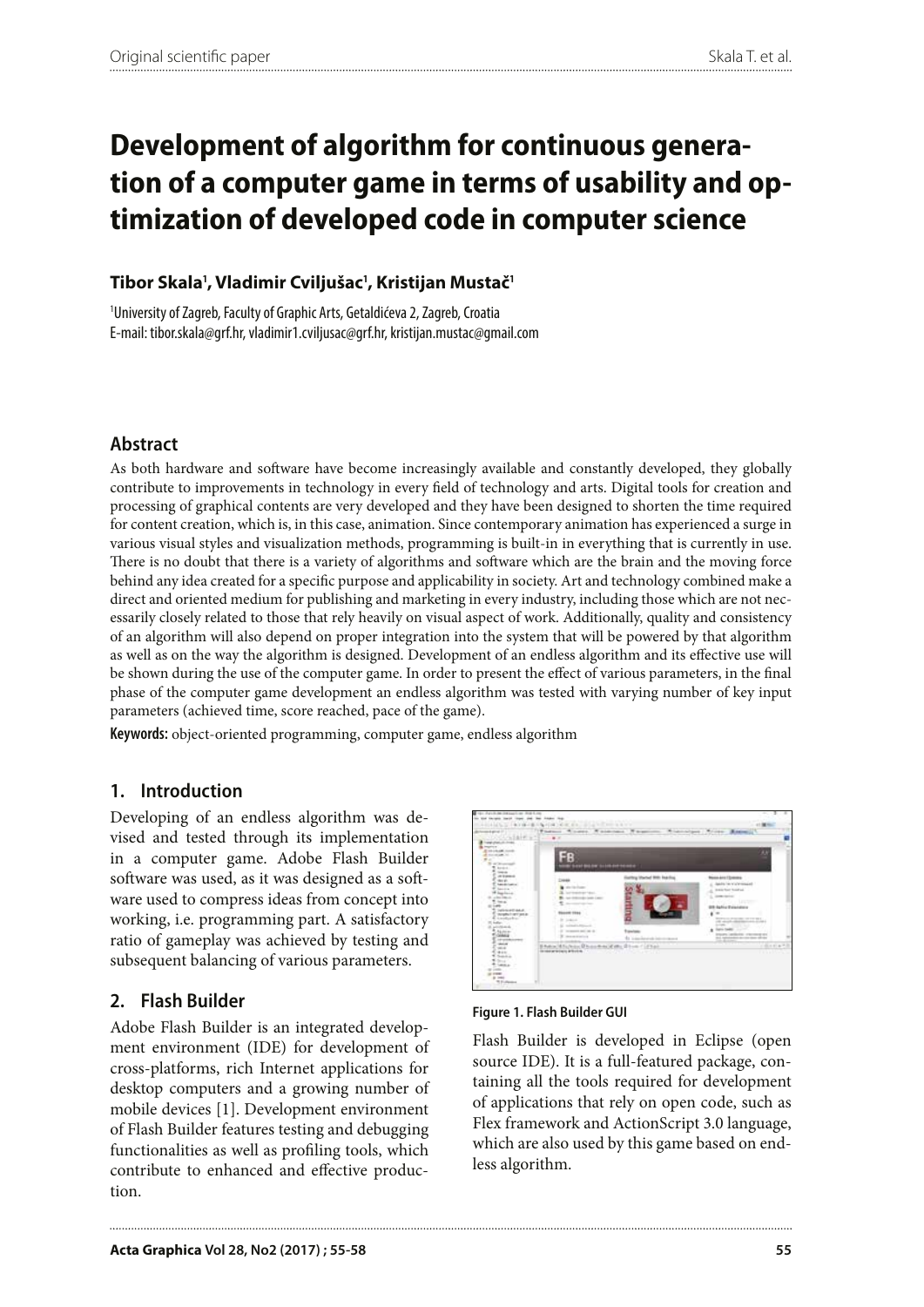# **Development of algorithm for continuous generation of a computer game in terms of usability and optimization of developed code in computer science**

### **Tibor Skala<sup>1</sup> , Vladimir Cviljušac<sup>1</sup> , Kristijan Mustač<sup>1</sup>**

1 University of Zagreb, Faculty of Graphic Arts, Getaldićeva 2, Zagreb, Croatia E-mail: tibor.skala@grf.hr, vladimir1.cviljusac@grf.hr, kristijan.mustac@gmail.com

## **Abstract**

As both hardware and software have become increasingly available and constantly developed, they globally contribute to improvements in technology in every field of technology and arts. Digital tools for creation and processing of graphical contents are very developed and they have been designed to shorten the time required for content creation, which is, in this case, animation. Since contemporary animation has experienced a surge in various visual styles and visualization methods, programming is built-in in everything that is currently in use. There is no doubt that there is a variety of algorithms and software which are the brain and the moving force behind any idea created for a specific purpose and applicability in society. Art and technology combined make a direct and oriented medium for publishing and marketing in every industry, including those which are not necessarily closely related to those that rely heavily on visual aspect of work. Additionally, quality and consistency of an algorithm will also depend on proper integration into the system that will be powered by that algorithm as well as on the way the algorithm is designed. Development of an endless algorithm and its effective use will be shown during the use of the computer game. In order to present the effect of various parameters, in the final phase of the computer game development an endless algorithm was tested with varying number of key input parameters (achieved time, score reached, pace of the game).

**Keywords:** object-oriented programming, computer game, endless algorithm

### **1. Introduction**

Developing of an endless algorithm was devised and tested through its implementation in a computer game. Adobe Flash Builder software was used, as it was designed as a software used to compress ideas from concept into working, i.e. programming part. A satisfactory ratio of gameplay was achieved by testing and subsequent balancing of various parameters.

### **2. Flash Builder**

Adobe Flash Builder is an integrated development environment (IDE) for development of cross-platforms, rich Internet applications for desktop computers and a growing number of mobile devices [1]. Development environment of Flash Builder features testing and debugging functionalities as well as profiling tools, which contribute to enhanced and effective production.



**Figure 1. Flash Builder GUI**

Flash Builder is developed in Eclipse (open source IDE). It is a full-featured package, containing all the tools required for development of applications that rely on open code, such as Flex framework and ActionScript 3.0 language, which are also used by this game based on endless algorithm.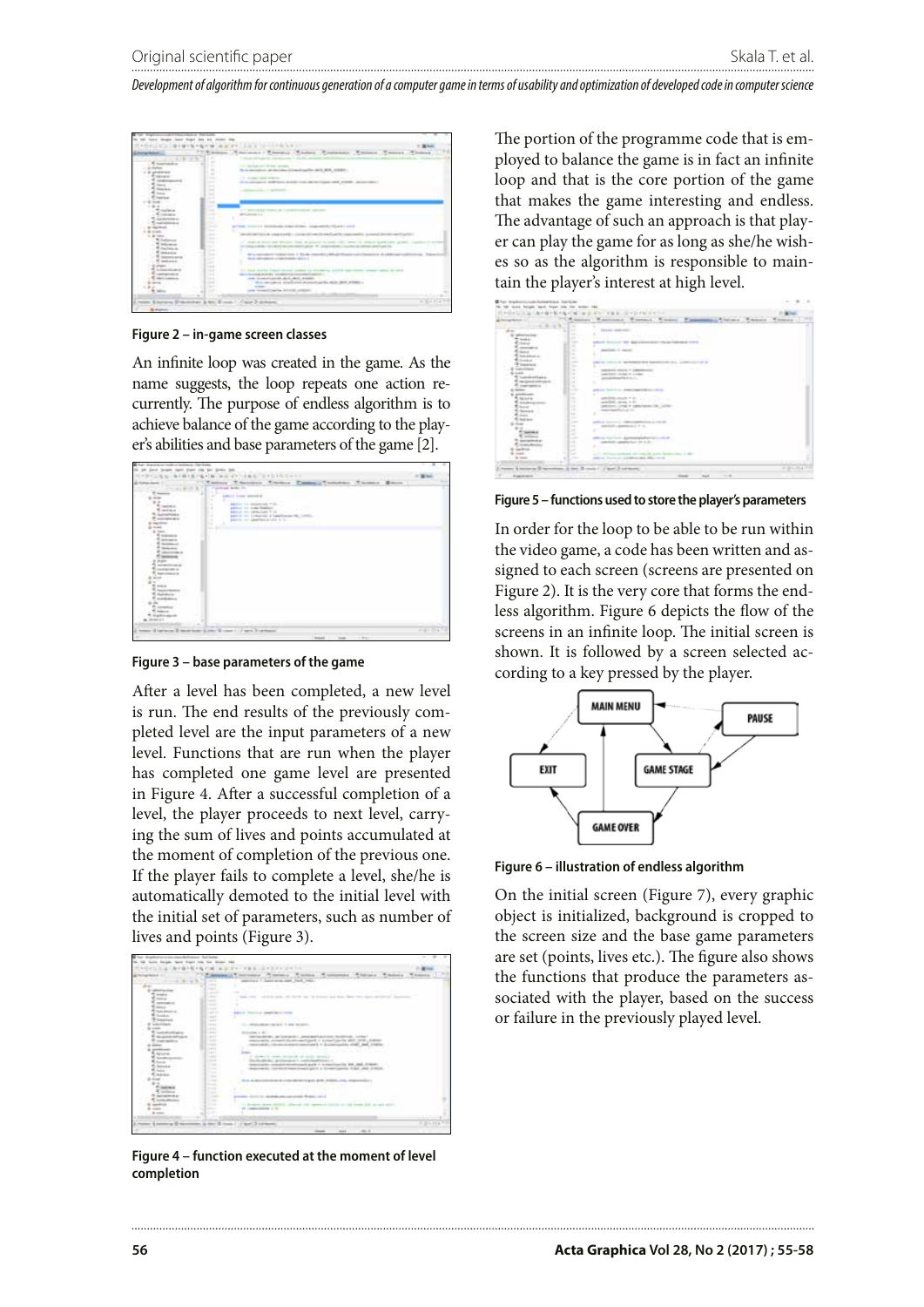*Development of algorithm for continuous generation of a computer game in terms of usability and optimization of developed code in computer science*



**Figure 2 – in-game screen classes**

An infinite loop was created in the game. As the name suggests, the loop repeats one action recurrently. The purpose of endless algorithm is to achieve balance of the game according to the player's abilities and base parameters of the game [2].

| Their tractice in testimate file fund                                                                                                                                                                                                                                                                                                                                                                                                                                                                        |        |  |
|--------------------------------------------------------------------------------------------------------------------------------------------------------------------------------------------------------------------------------------------------------------------------------------------------------------------------------------------------------------------------------------------------------------------------------------------------------------------------------------------------------------|--------|--|
|                                                                                                                                                                                                                                                                                                                                                                                                                                                                                                              |        |  |
| $+1$                                                                                                                                                                                                                                                                                                                                                                                                                                                                                                         |        |  |
| National Tremps Cassact Trempton<br>Thomas Mount<br>provided dealers for<br>٠<br>paint long packed<br>÷<br>٠<br><b>SELLIN CONTRACTOR</b><br>۰<br>u<br>an an admission is to<br>$\sim$<br>٠<br>age in the Lynkeren of Sandbacks Hit, 1970's.<br>٠<br>against the agent the problem of the con-<br>٠<br>w<br><br><b><i><u>STARTS</u></i></b><br><b>SERVICE OF</b><br>ma in<br>picages.<br><b>Hills</b><br><b>NEW COLLEGE</b><br><b>M. 22 991 111</b><br>$\mathbf{r}$<br>Montreas Gibby Brown 117 and 318 North | PERMIT |  |
|                                                                                                                                                                                                                                                                                                                                                                                                                                                                                                              |        |  |

**Figure 3 – base parameters of the game**

After a level has been completed, a new level is run. The end results of the previously completed level are the input parameters of a new level. Functions that are run when the player has completed one game level are presented in Figure 4. After a successful completion of a level, the player proceeds to next level, carrying the sum of lives and points accumulated at the moment of completion of the previous one. If the player fails to complete a level, she/he is automatically demoted to the initial level with the initial set of parameters, such as number of lives and points (Figure 3).



**Figure 4 – function executed at the moment of level completion**

The portion of the programme code that is employed to balance the game is in fact an infinite loop and that is the core portion of the game that makes the game interesting and endless. The advantage of such an approach is that player can play the game for as long as she/he wishes so as the algorithm is responsible to maintain the player's interest at high level.

| <b>Highlan</b>                                                                                                                     | <b>STEEL SPECIAL</b>                                                                        |                              |
|------------------------------------------------------------------------------------------------------------------------------------|---------------------------------------------------------------------------------------------|------------------------------|
| <b>WELL-REPORT</b>                                                                                                                 | Thomas Resident Pressure Thomas Planner                                                     | Missa America Administration |
| w                                                                                                                                  |                                                                                             |                              |
| m.<br>di su                                                                                                                        | <b>March L. Goldmann</b>                                                                    |                              |
| $\sim$<br><b>URBAN BY STAR</b>                                                                                                     | <b>Tarakter</b>                                                                             |                              |
| <b>Scott of</b><br>$\sim$                                                                                                          | contact to the cap in data stands in which                                                  |                              |
| <b>Civica</b><br>÷                                                                                                                 |                                                                                             |                              |
| <b><i><u>Commercial</u></i></b><br>÷<br>New Av                                                                                     | The constitution of transaction                                                             |                              |
| ×<br><b>School Avenue</b>                                                                                                          | 6 T T                                                                                       |                              |
| <br><b>Richard</b>                                                                                                                 |                                                                                             |                              |
| $\frac{1}{2} \left( \frac{1}{2} \right) \left( \frac{1}{2} \right) \left( \frac{1}{2} \right)$<br><b><i><u>Programment</u></i></b> | A contract to development state and<br>THE R. P. LEWIS CO., LANSING, MICH. 49-14039-1-120-2 |                              |
| <b>Cardonal Market</b>                                                                                                             | The colour                                                                                  |                              |
| $-0.004$                                                                                                                           | attentive around 11 children con-                                                           |                              |
| m.<br><b>Solid Edition</b><br>$\sim$                                                                                               | weeklash chiqaa di chawer<br>alongstream frances.                                           |                              |
| THE GLASS COMPOSITION IN<br>×                                                                                                      |                                                                                             |                              |
| instruction.<br>÷                                                                                                                  |                                                                                             |                              |
| <b>September</b><br><b>Sellen Co</b>                                                                                               | and a comment comment of a dealer<br>and the State                                          |                              |
| <b>AND PERSONAL</b>                                                                                                                |                                                                                             |                              |
| $\sim$<br><b><i>E. MAILELLE</i></b>                                                                                                | amilyis must will be a con-                                                                 |                              |
| m.<br><b>Schultzmann</b>                                                                                                           | weekless, career 4.81.                                                                      |                              |
| $\sim$<br>m.<br>Service 1                                                                                                          | person, cred 4 capacitates (a)                                                              |                              |
|                                                                                                                                    | shake in thought that you is con-                                                           |                              |
| $2200 +$<br>$\sim$                                                                                                                 | . .                                                                                         |                              |
| <b>Sept</b><br><b><i><u>R. Holmesse</u></i></b>                                                                                    |                                                                                             |                              |
| $-$<br>$1 - 1 = 1$<br>$\sim$                                                                                                       | THE ATTACHED<br>$-0.000$                                                                    |                              |
| $\sim$                                                                                                                             | $14.0$ Euclidean approximate star (2) $-4$ - (1).                                           |                              |
| ÷<br>$\sim$                                                                                                                        |                                                                                             |                              |
| $\frac{1}{2} \left( \frac{1}{2} \right) \left( \frac{1}{2} \right) \left( \frac{1}{2} \right)$                                     |                                                                                             |                              |
| <b>SAFEKEEPING</b><br>$\sim$<br>$\sim$                                                                                             | and the complete fact that it at                                                            |                              |
|                                                                                                                                    | ٠                                                                                           |                              |
| <b>General Street</b><br>$\sim$                                                                                                    |                                                                                             |                              |
| ۰<br><b>START</b><br>$\sim$                                                                                                        | and stationers life instantial polity developments in their                                 |                              |
| <b>Brown</b><br>$\sim$<br><b>Since</b>                                                                                             | and a location made a set of the and                                                        |                              |
|                                                                                                                                    |                                                                                             |                              |

**Figure 5 – functions used to store the player's parameters**

In order for the loop to be able to be run within the video game, a code has been written and assigned to each screen (screens are presented on Figure 2). It is the very core that forms the endless algorithm. Figure 6 depicts the flow of the screens in an infinite loop. The initial screen is shown. It is followed by a screen selected according to a key pressed by the player.



**Figure 6 – illustration of endless algorithm**

On the initial screen (Figure 7), every graphic object is initialized, background is cropped to the screen size and the base game parameters are set (points, lives etc.). The figure also shows the functions that produce the parameters associated with the player, based on the success or failure in the previously played level.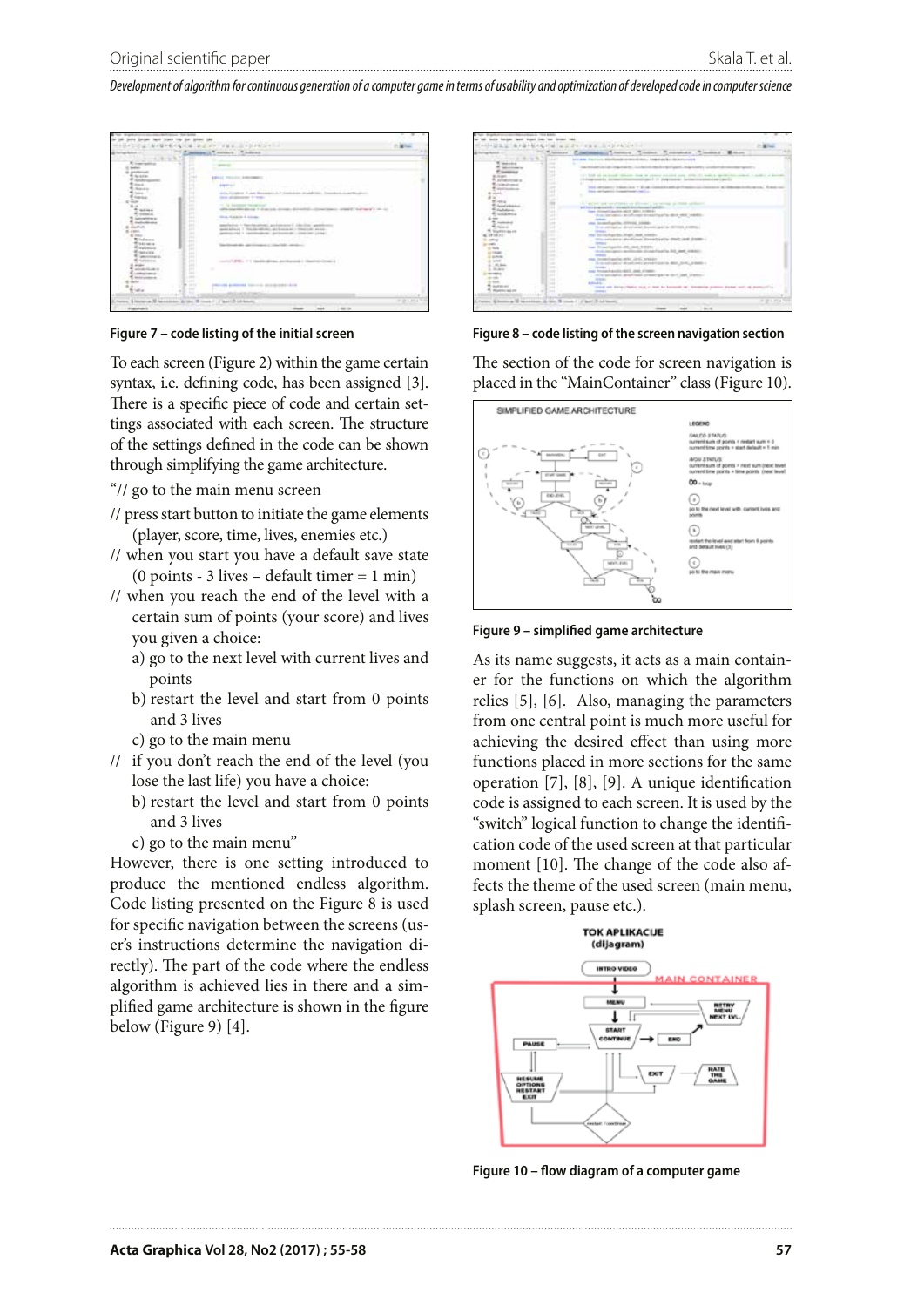*Development of algorithm for continuous generation of a computer game in terms of usability and optimization of developed code in computer science*



**Figure 7 – code listing of the initial screen**

To each screen (Figure 2) within the game certain syntax, i.e. defining code, has been assigned [3]. There is a specific piece of code and certain settings associated with each screen. The structure of the settings defined in the code can be shown through simplifying the game architecture.

- "// go to the main menu screen
- // press start button to initiate the game elements (player, score, time, lives, enemies etc.)
- // when you start you have a default save state (0 points - 3 lives – default timer = 1 min)
- // when you reach the end of the level with a certain sum of points (your score) and lives you given a choice:
	- a) go to the next level with current lives and points
	- b) restart the level and start from 0 points and 3 lives
	- c) go to the main menu
- // if you don't reach the end of the level (you lose the last life) you have a choice:
	- b) restart the level and start from 0 points and 3 lives
	- c) go to the main menu"

However, there is one setting introduced to produce the mentioned endless algorithm. Code listing presented on the Figure 8 is used for specific navigation between the screens (user's instructions determine the navigation directly). The part of the code where the endless algorithm is achieved lies in there and a simplified game architecture is shown in the figure below (Figure 9) [4].



**Figure 8 – code listing of the screen navigation section**

The section of the code for screen navigation is placed in the "MainContainer" class (Figure 10).



**Figure 9 – simplified game architecture**

As its name suggests, it acts as a main container for the functions on which the algorithm relies [5], [6]. Also, managing the parameters from one central point is much more useful for achieving the desired effect than using more functions placed in more sections for the same operation [7], [8], [9]. A unique identification code is assigned to each screen. It is used by the "switch" logical function to change the identification code of the used screen at that particular moment [10]. The change of the code also affects the theme of the used screen (main menu, splash screen, pause etc.).



**Figure 10 – flow diagram of a computer game**